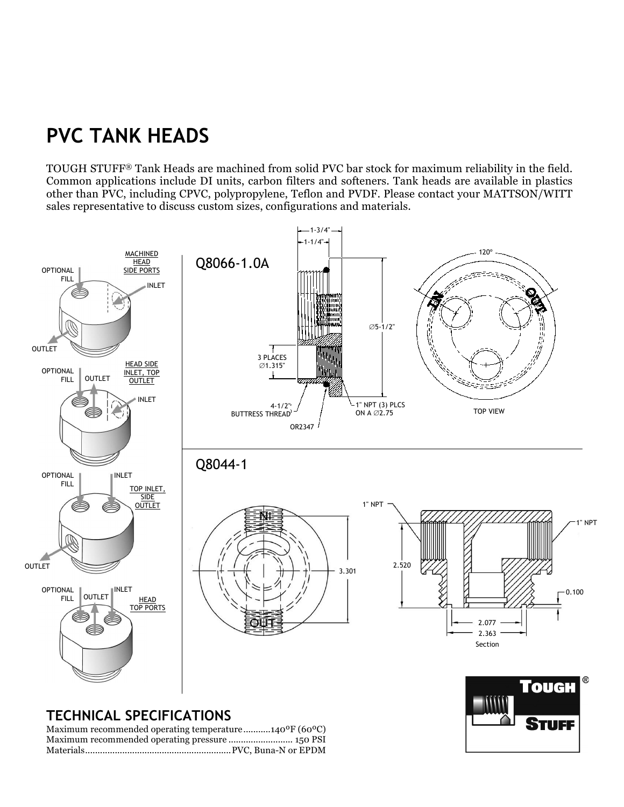## **PVC TANK HEADS**

TOUGH STUFF® Tank Heads are machined from solid PVC bar stock for maximum reliability in the field. Common applications include DI units, carbon filters and softeners. Tank heads are available in plastics other than PVC, including CPVC, polypropylene, Teflon and PVDF. Please contact your MATTSON/WITT sales representative to discuss custom sizes, configurations and materials.



STUFF

## **TECHNICAL SPECIFICATIONS**

Maximum recommended operating temperature...........140ºF (60ºC) Maximum recommended operating pressure .......................... 150 PSI Materials...........................................................PVC, Buna-N or EPDM